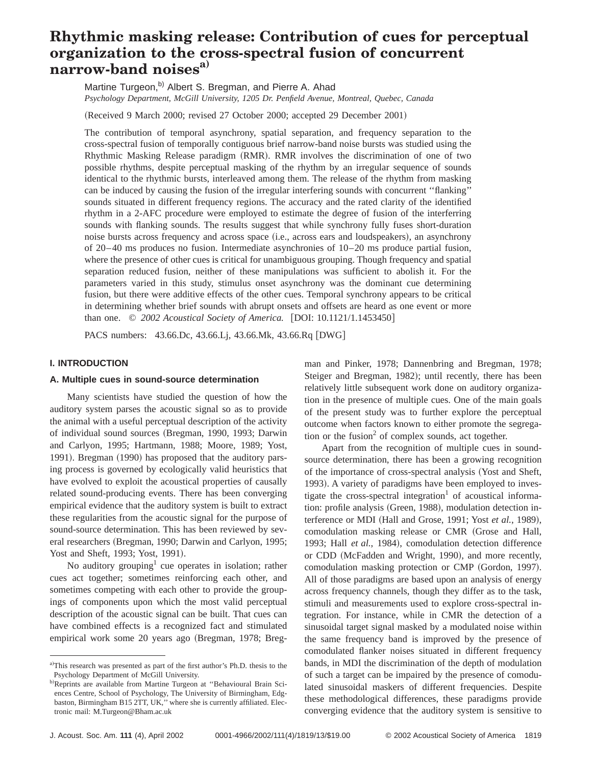# **Rhythmic masking release: Contribution of cues for perceptual organization to the cross-spectral fusion of concurrent narrow-band noisesa)**

Martine Turgeon,<sup>b)</sup> Albert S. Bregman, and Pierre A. Ahad *Psychology Department, McGill University, 1205 Dr. Penfield Avenue, Montreal, Quebec, Canada*

(Received 9 March 2000; revised 27 October 2000; accepted 29 December 2001)

The contribution of temporal asynchrony, spatial separation, and frequency separation to the cross-spectral fusion of temporally contiguous brief narrow-band noise bursts was studied using the Rhythmic Masking Release paradigm (RMR). RMR involves the discrimination of one of two possible rhythms, despite perceptual masking of the rhythm by an irregular sequence of sounds identical to the rhythmic bursts, interleaved among them. The release of the rhythm from masking can be induced by causing the fusion of the irregular interfering sounds with concurrent ''flanking'' sounds situated in different frequency regions. The accuracy and the rated clarity of the identified rhythm in a 2-AFC procedure were employed to estimate the degree of fusion of the interferring sounds with flanking sounds. The results suggest that while synchrony fully fuses short-duration noise bursts across frequency and across space (i.e., across ears and loudspeakers), an asynchrony of 20–40 ms produces no fusion. Intermediate asynchronies of 10–20 ms produce partial fusion, where the presence of other cues is critical for unambiguous grouping. Though frequency and spatial separation reduced fusion, neither of these manipulations was sufficient to abolish it. For the parameters varied in this study, stimulus onset asynchrony was the dominant cue determining fusion, but there were additive effects of the other cues. Temporal synchrony appears to be critical in determining whether brief sounds with abrupt onsets and offsets are heard as one event or more than one. © 2002 Acoustical Society of America. [DOI: 10.1121/1.1453450]

PACS numbers: 43.66.Dc, 43.66.Lj, 43.66.Mk, 43.66.Rq [DWG]

# **I. INTRODUCTION**

#### **A. Multiple cues in sound-source determination**

Many scientists have studied the question of how the auditory system parses the acoustic signal so as to provide the animal with a useful perceptual description of the activity of individual sound sources (Bregman, 1990, 1993; Darwin and Carlyon, 1995; Hartmann, 1988; Moore, 1989; Yost, 1991). Bregman (1990) has proposed that the auditory parsing process is governed by ecologically valid heuristics that have evolved to exploit the acoustical properties of causally related sound-producing events. There has been converging empirical evidence that the auditory system is built to extract these regularities from the acoustic signal for the purpose of sound-source determination. This has been reviewed by several researchers (Bregman, 1990; Darwin and Carlyon, 1995; Yost and Sheft, 1993; Yost, 1991).

No auditory grouping<sup>1</sup> cue operates in isolation; rather cues act together; sometimes reinforcing each other, and sometimes competing with each other to provide the groupings of components upon which the most valid perceptual description of the acoustic signal can be built. That cues can have combined effects is a recognized fact and stimulated empirical work some 20 years ago (Bregman, 1978; Bregman and Pinker, 1978; Dannenbring and Bregman, 1978; Steiger and Bregman, 1982); until recently, there has been relatively little subsequent work done on auditory organization in the presence of multiple cues. One of the main goals of the present study was to further explore the perceptual outcome when factors known to either promote the segregation or the fusion<sup>2</sup> of complex sounds, act together.

Apart from the recognition of multiple cues in soundsource determination, there has been a growing recognition of the importance of cross-spectral analysis (Yost and Sheft, 1993). A variety of paradigms have been employed to investigate the cross-spectral integration<sup>1</sup> of acoustical information: profile analysis (Green, 1988), modulation detection interference or MDI (Hall and Grose, 1991; Yost *et al.*, 1989), comodulation masking release or CMR (Grose and Hall, 1993; Hall *et al.*, 1984), comodulation detection difference or CDD (McFadden and Wright, 1990), and more recently, comodulation masking protection or CMP (Gordon, 1997). All of those paradigms are based upon an analysis of energy across frequency channels, though they differ as to the task, stimuli and measurements used to explore cross-spectral integration. For instance, while in CMR the detection of a sinusoidal target signal masked by a modulated noise within the same frequency band is improved by the presence of comodulated flanker noises situated in different frequency bands, in MDI the discrimination of the depth of modulation of such a target can be impaired by the presence of comodulated sinusoidal maskers of different frequencies. Despite these methodological differences, these paradigms provide converging evidence that the auditory system is sensitive to

a)This research was presented as part of the first author's Ph.D. thesis to the Psychology Department of McGill University.

b)Reprints are available from Martine Turgeon at "Behavioural Brain Sciences Centre, School of Psychology, The University of Birmingham, Edgbaston, Birmingham B15 2TT, UK,'' where she is currently affiliated. Electronic mail: M.Turgeon@Bham.ac.uk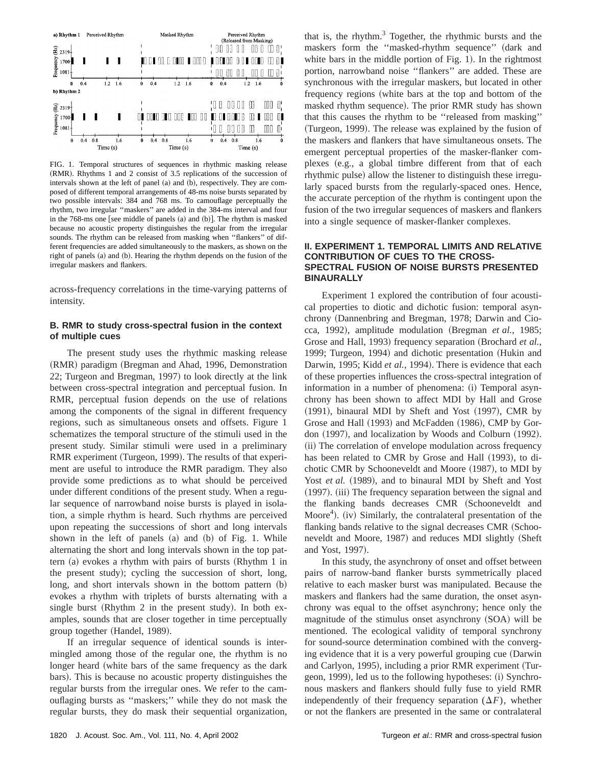

FIG. 1. Temporal structures of sequences in rhythmic masking release  $(RMR)$ . Rhythms 1 and 2 consist of 3.5 replications of the succession of intervals shown at the left of panel  $(a)$  and  $(b)$ , respectively. They are composed of different temporal arrangements of 48-ms noise bursts separated by two possible intervals: 384 and 768 ms. To camouflage perceptually the rhythm, two irregular ''maskers'' are added in the 384-ms interval and four in the  $768$ -ms one [see middle of panels  $(a)$  and  $(b)$ ]. The rhythm is masked because no acoustic property distinguishes the regular from the irregular sounds. The rhythm can be released from masking when ''flankers'' of different frequencies are added simultaneously to the maskers, as shown on the right of panels (a) and (b). Hearing the rhythm depends on the fusion of the irregular maskers and flankers.

across-frequency correlations in the time-varying patterns of intensity.

#### **B. RMR to study cross-spectral fusion in the context of multiple cues**

The present study uses the rhythmic masking release (RMR) paradigm (Bregman and Ahad, 1996, Demonstration 22; Turgeon and Bregman, 1997) to look directly at the link between cross-spectral integration and perceptual fusion. In RMR, perceptual fusion depends on the use of relations among the components of the signal in different frequency regions, such as simultaneous onsets and offsets. Figure 1 schematizes the temporal structure of the stimuli used in the present study. Similar stimuli were used in a preliminary RMR experiment (Turgeon, 1999). The results of that experiment are useful to introduce the RMR paradigm. They also provide some predictions as to what should be perceived under different conditions of the present study. When a regular sequence of narrowband noise bursts is played in isolation, a simple rhythm is heard. Such rhythms are perceived upon repeating the successions of short and long intervals shown in the left of panels  $(a)$  and  $(b)$  of Fig. 1. While alternating the short and long intervals shown in the top pattern  $(a)$  evokes a rhythm with pairs of bursts  $(Rh$ ythm 1 in the present study); cycling the succession of short, long, long, and short intervals shown in the bottom pattern  $(b)$ evokes a rhythm with triplets of bursts alternating with a single burst (Rhythm 2 in the present study). In both examples, sounds that are closer together in time perceptually group together (Handel, 1989).

If an irregular sequence of identical sounds is intermingled among those of the regular one, the rhythm is no longer heard (white bars of the same frequency as the dark bars). This is because no acoustic property distinguishes the regular bursts from the irregular ones. We refer to the camouflaging bursts as ''maskers;'' while they do not mask the regular bursts, they do mask their sequential organization, that is, the rhythm. $3$  Together, the rhythmic bursts and the maskers form the "masked-rhythm sequence" (dark and white bars in the middle portion of Fig.  $1$ ). In the rightmost portion, narrowband noise ''flankers'' are added. These are synchronous with the irregular maskers, but located in other frequency regions (white bars at the top and bottom of the masked rhythm sequence). The prior RMR study has shown that this causes the rhythm to be ''released from masking'' (Turgeon, 1999). The release was explained by the fusion of the maskers and flankers that have simultaneous onsets. The emergent perceptual properties of the masker-flanker complexes (e.g., a global timbre different from that of each rhythmic pulse) allow the listener to distinguish these irregularly spaced bursts from the regularly-spaced ones. Hence, the accurate perception of the rhythm is contingent upon the fusion of the two irregular sequences of maskers and flankers into a single sequence of masker-flanker complexes.

## **II. EXPERIMENT 1. TEMPORAL LIMITS AND RELATIVE CONTRIBUTION OF CUES TO THE CROSS-SPECTRAL FUSION OF NOISE BURSTS PRESENTED BINAURALLY**

Experiment 1 explored the contribution of four acoustical properties to diotic and dichotic fusion: temporal asynchrony (Dannenbring and Bregman, 1978; Darwin and Ciocca, 1992), amplitude modulation (Bregman *et al.*, 1985; Grose and Hall, 1993) frequency separation (Brochard *et al.*, 1999; Turgeon, 1994) and dichotic presentation (Hukin and Darwin, 1995; Kidd et al., 1994). There is evidence that each of these properties influences the cross-spectral integration of information in a number of phenomena: (i) Temporal asynchrony has been shown to affect MDI by Hall and Grose  $(1991)$ , binaural MDI by Sheft and Yost  $(1997)$ , CMR by Grose and Hall (1993) and McFadden (1986), CMP by Gordon (1997), and localization by Woods and Colburn (1992). (ii) The correlation of envelope modulation across frequency has been related to CMR by Grose and Hall (1993), to dichotic CMR by Schooneveldt and Moore  $(1987)$ , to MDI by Yost *et al.* (1989), and to binaural MDI by Sheft and Yost  $(1997)$ .  $(iii)$  The frequency separation between the signal and the flanking bands decreases CMR (Schooneveldt and Moore<sup>4</sup>). (iv) Similarly, the contralateral presentation of the flanking bands relative to the signal decreases CMR (Schooneveldt and Moore, 1987) and reduces MDI slightly (Sheft and Yost, 1997).

In this study, the asynchrony of onset and offset between pairs of narrow-band flanker bursts symmetrically placed relative to each masker burst was manipulated. Because the maskers and flankers had the same duration, the onset asynchrony was equal to the offset asynchrony; hence only the magnitude of the stimulus onset asynchrony  $(SOA)$  will be mentioned. The ecological validity of temporal synchrony for sound-source determination combined with the converging evidence that it is a very powerful grouping cue (Darwin and Carlyon, 1995), including a prior RMR experiment (Turgeon, 1999), led us to the following hypotheses: (i) Synchronous maskers and flankers should fully fuse to yield RMR independently of their frequency separation  $(\Delta F)$ , whether or not the flankers are presented in the same or contralateral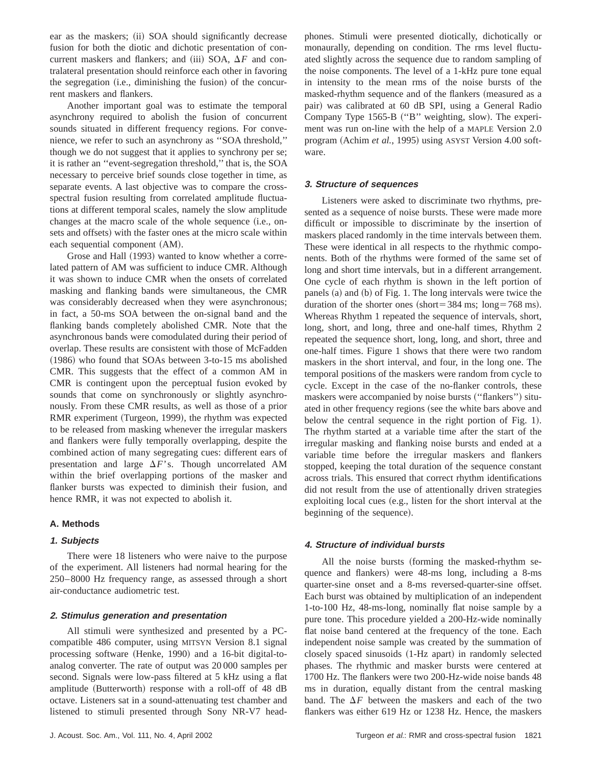ear as the maskers; (ii) SOA should significantly decrease fusion for both the diotic and dichotic presentation of concurrent maskers and flankers; and (iii) SOA,  $\Delta F$  and contralateral presentation should reinforce each other in favoring the segregation (i.e., diminishing the fusion) of the concurrent maskers and flankers.

Another important goal was to estimate the temporal asynchrony required to abolish the fusion of concurrent sounds situated in different frequency regions. For convenience, we refer to such an asynchrony as ''SOA threshold,'' though we do not suggest that it applies to synchrony per se; it is rather an ''event-segregation threshold,'' that is, the SOA necessary to perceive brief sounds close together in time, as separate events. A last objective was to compare the crossspectral fusion resulting from correlated amplitude fluctuations at different temporal scales, namely the slow amplitude changes at the macro scale of the whole sequence (i.e., onsets and offsets) with the faster ones at the micro scale within each sequential component (AM).

Grose and Hall (1993) wanted to know whether a correlated pattern of AM was sufficient to induce CMR. Although it was shown to induce CMR when the onsets of correlated masking and flanking bands were simultaneous, the CMR was considerably decreased when they were asynchronous; in fact, a 50-ms SOA between the on-signal band and the flanking bands completely abolished CMR. Note that the asynchronous bands were comodulated during their period of overlap. These results are consistent with those of McFadden  $(1986)$  who found that SOAs between 3-to-15 ms abolished CMR. This suggests that the effect of a common AM in CMR is contingent upon the perceptual fusion evoked by sounds that come on synchronously or slightly asynchronously. From these CMR results, as well as those of a prior RMR experiment (Turgeon, 1999), the rhythm was expected to be released from masking whenever the irregular maskers and flankers were fully temporally overlapping, despite the combined action of many segregating cues: different ears of presentation and large  $\Delta F$ 's. Though uncorrelated AM within the brief overlapping portions of the masker and flanker bursts was expected to diminish their fusion, and hence RMR, it was not expected to abolish it.

## **A. Methods**

## **1. Subjects**

There were 18 listeners who were naive to the purpose of the experiment. All listeners had normal hearing for the 250–8000 Hz frequency range, as assessed through a short air-conductance audiometric test.

#### **2. Stimulus generation and presentation**

All stimuli were synthesized and presented by a PCcompatible 486 computer, using MITSYN Version 8.1 signal processing software (Henke, 1990) and a 16-bit digital-toanalog converter. The rate of output was 20 000 samples per second. Signals were low-pass filtered at 5 kHz using a flat amplitude (Butterworth) response with a roll-off of 48 dB octave. Listeners sat in a sound-attenuating test chamber and listened to stimuli presented through Sony NR-V7 headphones. Stimuli were presented diotically, dichotically or monaurally, depending on condition. The rms level fluctuated slightly across the sequence due to random sampling of the noise components. The level of a 1-kHz pure tone equal in intensity to the mean rms of the noise bursts of the masked-rhythm sequence and of the flankers (measured as a pair) was calibrated at 60 dB SPI, using a General Radio Company Type 1565-B ("B" weighting, slow). The experiment was run on-line with the help of a MAPLE Version 2.0 program (Achim *et al.*, 1995) using ASYST Version 4.00 software.

#### **3. Structure of sequences**

Listeners were asked to discriminate two rhythms, presented as a sequence of noise bursts. These were made more difficult or impossible to discriminate by the insertion of maskers placed randomly in the time intervals between them. These were identical in all respects to the rhythmic components. Both of the rhythms were formed of the same set of long and short time intervals, but in a different arrangement. One cycle of each rhythm is shown in the left portion of panels (a) and (b) of Fig. 1. The long intervals were twice the duration of the shorter ones  $(short = 384 \text{ ms}; \text{long} = 768 \text{ ms}).$ Whereas Rhythm 1 repeated the sequence of intervals, short, long, short, and long, three and one-half times, Rhythm 2 repeated the sequence short, long, long, and short, three and one-half times. Figure 1 shows that there were two random maskers in the short interval, and four, in the long one. The temporal positions of the maskers were random from cycle to cycle. Except in the case of the no-flanker controls, these maskers were accompanied by noise bursts ("flankers") situated in other frequency regions (see the white bars above and below the central sequence in the right portion of Fig.  $1$ ). The rhythm started at a variable time after the start of the irregular masking and flanking noise bursts and ended at a variable time before the irregular maskers and flankers stopped, keeping the total duration of the sequence constant across trials. This ensured that correct rhythm identifications did not result from the use of attentionally driven strategies exploiting local cues (e.g., listen for the short interval at the beginning of the sequence).

#### **4. Structure of individual bursts**

All the noise bursts (forming the masked-rhythm sequence and flankers) were 48-ms long, including a 8-ms quarter-sine onset and a 8-ms reversed-quarter-sine offset. Each burst was obtained by multiplication of an independent 1-to-100 Hz, 48-ms-long, nominally flat noise sample by a pure tone. This procedure yielded a 200-Hz-wide nominally flat noise band centered at the frequency of the tone. Each independent noise sample was created by the summation of closely spaced sinusoids (1-Hz apart) in randomly selected phases. The rhythmic and masker bursts were centered at 1700 Hz. The flankers were two 200-Hz-wide noise bands 48 ms in duration, equally distant from the central masking band. The  $\Delta F$  between the maskers and each of the two flankers was either 619 Hz or 1238 Hz. Hence, the maskers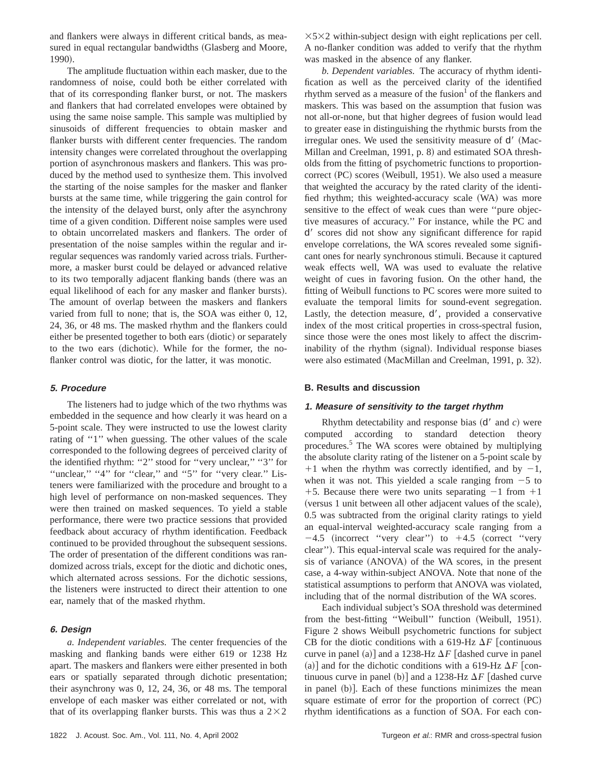and flankers were always in different critical bands, as measured in equal rectangular bandwidths (Glasberg and Moore, 1990).

The amplitude fluctuation within each masker, due to the randomness of noise, could both be either correlated with that of its corresponding flanker burst, or not. The maskers and flankers that had correlated envelopes were obtained by using the same noise sample. This sample was multiplied by sinusoids of different frequencies to obtain masker and flanker bursts with different center frequencies. The random intensity changes were correlated throughout the overlapping portion of asynchronous maskers and flankers. This was produced by the method used to synthesize them. This involved the starting of the noise samples for the masker and flanker bursts at the same time, while triggering the gain control for the intensity of the delayed burst, only after the asynchrony time of a given condition. Different noise samples were used to obtain uncorrelated maskers and flankers. The order of presentation of the noise samples within the regular and irregular sequences was randomly varied across trials. Furthermore, a masker burst could be delayed or advanced relative to its two temporally adjacent flanking bands (there was an equal likelihood of each for any masker and flanker bursts). The amount of overlap between the maskers and flankers varied from full to none; that is, the SOA was either 0, 12, 24, 36, or 48 ms. The masked rhythm and the flankers could either be presented together to both ears (diotic) or separately to the two ears (dichotic). While for the former, the noflanker control was diotic, for the latter, it was monotic.

#### **5. Procedure**

The listeners had to judge which of the two rhythms was embedded in the sequence and how clearly it was heard on a 5-point scale. They were instructed to use the lowest clarity rating of "1" when guessing. The other values of the scale corresponded to the following degrees of perceived clarity of the identified rhythm: "2" stood for "very unclear," "3" for "unclear," "4" for "clear," and "5" for "very clear." Listeners were familiarized with the procedure and brought to a high level of performance on non-masked sequences. They were then trained on masked sequences. To yield a stable performance, there were two practice sessions that provided feedback about accuracy of rhythm identification. Feedback continued to be provided throughout the subsequent sessions. The order of presentation of the different conditions was randomized across trials, except for the diotic and dichotic ones, which alternated across sessions. For the dichotic sessions, the listeners were instructed to direct their attention to one ear, namely that of the masked rhythm.

#### **6. Design**

*a. Independent variables.* The center frequencies of the masking and flanking bands were either 619 or 1238 Hz apart. The maskers and flankers were either presented in both ears or spatially separated through dichotic presentation; their asynchrony was 0, 12, 24, 36, or 48 ms. The temporal envelope of each masker was either correlated or not, with that of its overlapping flanker bursts. This was thus a  $2\times2$   $\times$  5 $\times$ 2 within-subject design with eight replications per cell. A no-flanker condition was added to verify that the rhythm was masked in the absence of any flanker.

*b. Dependent variables.* The accuracy of rhythm identification as well as the perceived clarity of the identified rhythm served as a measure of the fusion  $\sigma$  of the flankers and maskers. This was based on the assumption that fusion was not all-or-none, but that higher degrees of fusion would lead to greater ease in distinguishing the rhythmic bursts from the irregular ones. We used the sensitivity measure of  $d'$  (Mac-Millan and Creelman, 1991, p. 8) and estimated SOA thresholds from the fitting of psychometric functions to proportioncorrect (PC) scores (Weibull, 1951). We also used a measure that weighted the accuracy by the rated clarity of the identified rhythm; this weighted-accuracy scale (WA) was more sensitive to the effect of weak cues than were ''pure objective measures of accuracy.'' For instance, while the PC and d' scores did not show any significant difference for rapid envelope correlations, the WA scores revealed some significant ones for nearly synchronous stimuli. Because it captured weak effects well, WA was used to evaluate the relative weight of cues in favoring fusion. On the other hand, the fitting of Weibull functions to PC scores were more suited to evaluate the temporal limits for sound-event segregation. Lastly, the detection measure,  $d'$ , provided a conservative index of the most critical properties in cross-spectral fusion, since those were the ones most likely to affect the discriminability of the rhythm (signal). Individual response biases were also estimated (MacMillan and Creelman, 1991, p. 32).

#### **B. Results and discussion**

#### **1. Measure of sensitivity to the target rhythm**

Rhythm detectability and response bias  $(d'$  and *c*) were computed according to standard detection theory procedures.5 The WA scores were obtained by multiplying the absolute clarity rating of the listener on a 5-point scale by  $+1$  when the rhythm was correctly identified, and by  $-1$ , when it was not. This yielded a scale ranging from  $-5$  to +5. Because there were two units separating  $-1$  from  $+1$ (versus 1 unit between all other adjacent values of the scale), 0.5 was subtracted from the original clarity ratings to yield an equal-interval weighted-accuracy scale ranging from a  $-4.5$  (incorrect "very clear") to  $+4.5$  (correct "very clear"). This equal-interval scale was required for the analysis of variance (ANOVA) of the WA scores, in the present case, a 4-way within-subject ANOVA. Note that none of the statistical assumptions to perform that ANOVA was violated, including that of the normal distribution of the WA scores.

Each individual subject's SOA threshold was determined from the best-fitting "Weibull" function (Weibull, 1951). Figure 2 shows Weibull psychometric functions for subject CB for the diotic conditions with a 619-Hz  $\Delta F$  [continuous curve in panel (a)] and a 1238-Hz  $\Delta F$  [dashed curve in panel (a)] and for the dichotic conditions with a 619-Hz  $\Delta F$  [continuous curve in panel (b)] and a 1238-Hz  $\Delta F$  [dashed curve in panel  $(b)$ . Each of these functions minimizes the mean square estimate of error for the proportion of correct  $(PC)$ rhythm identifications as a function of SOA. For each con-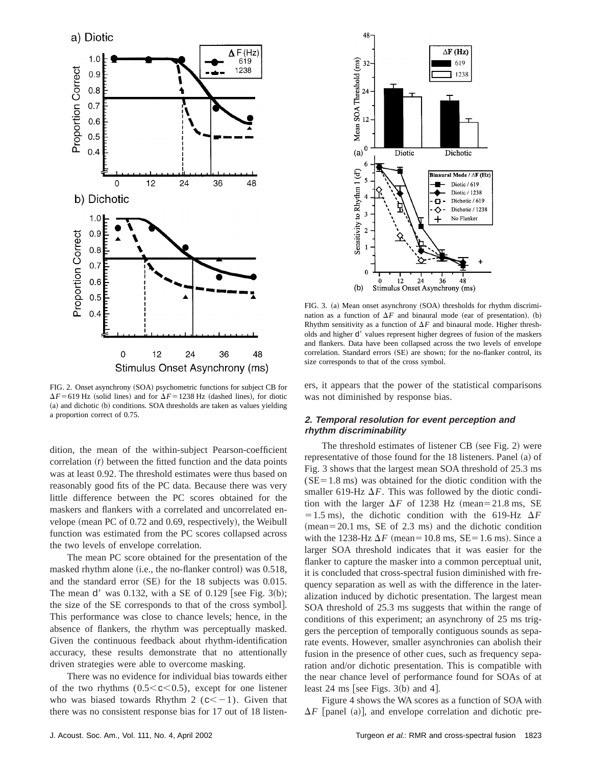

FIG. 2. Onset asynchrony (SOA) psychometric functions for subject CB for  $\Delta F$ =619 Hz (solid lines) and for  $\Delta F$ =1238 Hz (dashed lines), for diotic (a) and dichotic (b) conditions. SOA thresholds are taken as values yielding a proportion correct of 0.75.

dition, the mean of the within-subject Pearson-coefficient correlation  $(r)$  between the fitted function and the data points was at least 0.92. The threshold estimates were thus based on reasonably good fits of the PC data. Because there was very little difference between the PC scores obtained for the maskers and flankers with a correlated and uncorrelated envelope (mean PC of  $0.72$  and  $0.69$ , respectively), the Weibull function was estimated from the PC scores collapsed across the two levels of envelope correlation.

The mean PC score obtained for the presentation of the masked rhythm alone (i.e., the no-flanker control) was  $0.518$ , and the standard error  $(SE)$  for the 18 subjects was 0.015. The mean  $d'$  was 0.132, with a SE of 0.129 [see Fig. 3(b); the size of the SE corresponds to that of the cross symbol]. This performance was close to chance levels; hence, in the absence of flankers, the rhythm was perceptually masked. Given the continuous feedback about rhythm-identification accuracy, these results demonstrate that no attentionally driven strategies were able to overcome masking.

There was no evidence for individual bias towards either of the two rhythms  $(0.5< c<0.5)$ , except for one listener who was biased towards Rhythm 2 ( $c<-1$ ). Given that there was no consistent response bias for 17 out of 18 listen-



FIG. 3. (a) Mean onset asynchrony (SOA) thresholds for rhythm discrimination as a function of  $\Delta F$  and binaural mode (ear of presentation). (b) Rhythm sensitivity as a function of  $\Delta F$  and binaural mode. Higher thresholds and higher d' values represent higher degrees of fusion of the maskers and flankers. Data have been collapsed across the two levels of envelope correlation. Standard errors (SE) are shown; for the no-flanker control, its size corresponds to that of the cross symbol.

ers, it appears that the power of the statistical comparisons was not diminished by response bias.

# **2. Temporal resolution for event perception and rhythm discriminability**

The threshold estimates of listener CB (see Fig. 2) were representative of those found for the  $18$  listeners. Panel  $(a)$  of Fig. 3 shows that the largest mean SOA threshold of 25.3 ms  $(SE=1.8 \text{ ms})$  was obtained for the diotic condition with the smaller 619-Hz  $\Delta F$ . This was followed by the diotic condition with the larger  $\Delta F$  of 1238 Hz (mean=21.8 ms, SE  $=1.5$  ms), the dichotic condition with the 619-Hz  $\Delta F$  $(mean=20.1 \text{ ms}, \text{SE of } 2.3 \text{ ms})$  and the dichotic condition with the 1238-Hz  $\Delta F$  (mean=10.8 ms, SE=1.6 ms). Since a larger SOA threshold indicates that it was easier for the flanker to capture the masker into a common perceptual unit, it is concluded that cross-spectral fusion diminished with frequency separation as well as with the difference in the lateralization induced by dichotic presentation. The largest mean SOA threshold of 25.3 ms suggests that within the range of conditions of this experiment; an asynchrony of 25 ms triggers the perception of temporally contiguous sounds as separate events. However, smaller asynchronies can abolish their fusion in the presence of other cues, such as frequency separation and/or dichotic presentation. This is compatible with the near chance level of performance found for SOAs of at least 24 ms [see Figs.  $3(b)$  and 4].

Figure 4 shows the WA scores as a function of SOA with  $\Delta F$  [panel (a)], and envelope correlation and dichotic pre-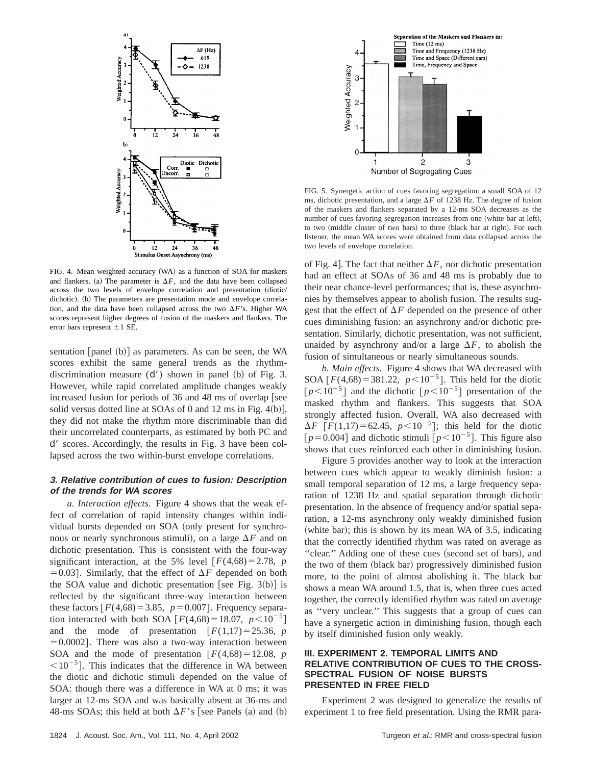

FIG. 4. Mean weighted accuracy (WA) as a function of SOA for maskers and flankers. (a) The parameter is  $\Delta F$ , and the data have been collapsed across the two levels of envelope correlation and presentation (diotic/ dichotic). (b) The parameters are presentation mode and envelope correlation, and the data have been collapsed across the two  $\Delta F$ 's. Higher WA scores represent higher degrees of fusion of the maskers and flankers. The error bars represent  $\pm 1$  SE.

sentation  $\lceil$  panel  $(b)$  as parameters. As can be seen, the WA scores exhibit the same general trends as the rhythmdiscrimination measure  $(d')$  shown in panel (b) of Fig. 3. However, while rapid correlated amplitude changes weakly increased fusion for periods of 36 and 48 ms of overlap [see solid versus dotted line at SOAs of 0 and 12 ms in Fig.  $4(b)$ , they did not make the rhythm more discriminable than did their uncorrelated counterparts, as estimated by both PC and d' scores. Accordingly, the results in Fig. 3 have been collapsed across the two within-burst envelope correlations.

## **3. Relative contribution of cues to fusion: Description of the trends for WA scores**

*a. Interaction effects.* Figure 4 shows that the weak effect of correlation of rapid intensity changes within individual bursts depended on SOA (only present for synchronous or nearly synchronous stimuli), on a large  $\Delta F$  and on dichotic presentation. This is consistent with the four-way significant interaction, at the 5% level  $F(4,68) = 2.78$ , *p*  $=0.03$ . Similarly, that the effect of  $\Delta F$  depended on both the SOA value and dichotic presentation [see Fig. 3(b)] is reflected by the significant three-way interaction between these factors  $F(4,68) = 3.85$ ,  $p = 0.007$ . Frequency separation interacted with both SOA  $\lceil F(4,68) = 18.07, p < 10^{-5} \rceil$ and the mode of presentation  $[F(1,17) = 25.36, p]$  $=0.0002$ . There was also a two-way interaction between SOA and the mode of presentation  $F(4,68) = 12.08$ , *p*  $\leq 10^{-5}$ . This indicates that the difference in WA between the diotic and dichotic stimuli depended on the value of SOA: though there was a difference in WA at 0 ms; it was larger at 12-ms SOA and was basically absent at 36-ms and 48-ms SOAs; this held at both  $\Delta F$ 's [see Panels (a) and (b)



FIG. 5. Synergetic action of cues favoring segregation: a small SOA of 12 ms, dichotic presentation, and a large  $\Delta F$  of 1238 Hz. The degree of fusion of the maskers and flankers separated by a 12-ms SOA decreases as the number of cues favoring segregation increases from one (white bar at left), to two (middle cluster of two bars) to three (black bar at right). For each listener, the mean WA scores were obtained from data collapsed across the two levels of envelope correlation.

of Fig. 4. The fact that neither  $\Delta F$ , nor dichotic presentation had an effect at SOAs of 36 and 48 ms is probably due to their near chance-level performances; that is, these asynchronies by themselves appear to abolish fusion. The results suggest that the effect of  $\Delta F$  depended on the presence of other cues diminishing fusion: an asynchrony and/or dichotic presentation. Similarly, dichotic presentation, was not sufficient, unaided by asynchrony and/or a large  $\Delta F$ , to abolish the fusion of simultaneous or nearly simultaneous sounds.

*b. Main effects.* Figure 4 shows that WA decreased with SOA  $\lceil F(4,68) = 381.22$ ,  $p < 10^{-5}$ . This held for the diotic  $[p<10^{-5}]$  and the dichotic  $[p<10^{-5}]$  presentation of the masked rhythm and flankers. This suggests that SOA strongly affected fusion. Overall, WA also decreased with  $\Delta F$  [*F*(1,17)=62.45, *p*<10<sup>-5</sup>]; this held for the diotic  $[p=0.004]$  and dichotic stimuli  $[p<10^{-5}]$ . This figure also shows that cues reinforced each other in diminishing fusion.

Figure 5 provides another way to look at the interaction between cues which appear to weakly diminish fusion: a small temporal separation of 12 ms, a large frequency separation of 1238 Hz and spatial separation through dichotic presentation. In the absence of frequency and/or spatial separation, a 12-ms asynchrony only weakly diminished fusion (white bar); this is shown by its mean WA of  $3.5$ , indicating that the correctly identified rhythm was rated on average as "clear." Adding one of these cues (second set of bars), and the two of them (black bar) progressively diminished fusion more, to the point of almost abolishing it. The black bar shows a mean WA around 1.5, that is, when three cues acted together, the correctly identified rhythm was rated on average as ''very unclear.'' This suggests that a group of cues can have a synergetic action in diminishing fusion, though each by itself diminished fusion only weakly.

## **III. EXPERIMENT 2. TEMPORAL LIMITS AND RELATIVE CONTRIBUTION OF CUES TO THE CROSS-SPECTRAL FUSION OF NOISE BURSTS PRESENTED IN FREE FIELD**

Experiment 2 was designed to generalize the results of experiment 1 to free field presentation. Using the RMR para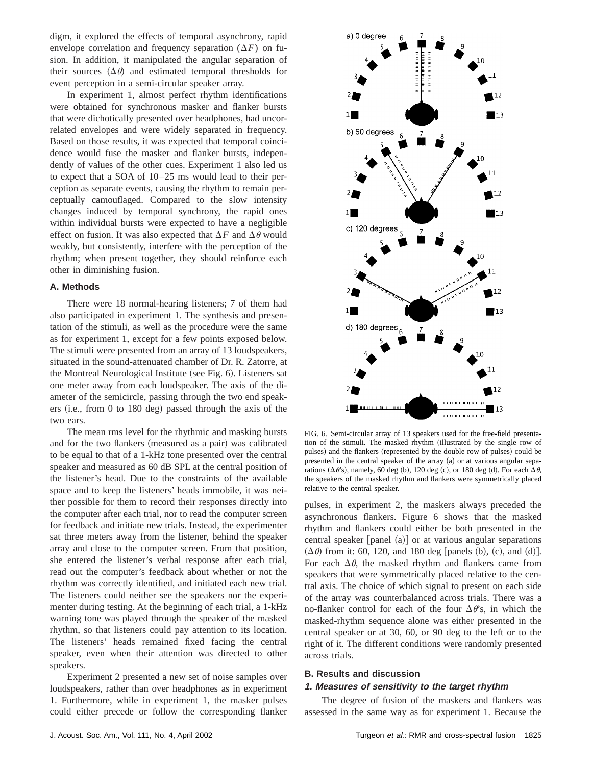digm, it explored the effects of temporal asynchrony, rapid envelope correlation and frequency separation  $(\Delta F)$  on fusion. In addition, it manipulated the angular separation of their sources  $(\Delta \theta)$  and estimated temporal thresholds for event perception in a semi-circular speaker array.

In experiment 1, almost perfect rhythm identifications were obtained for synchronous masker and flanker bursts that were dichotically presented over headphones, had uncorrelated envelopes and were widely separated in frequency. Based on those results, it was expected that temporal coincidence would fuse the masker and flanker bursts, independently of values of the other cues. Experiment 1 also led us to expect that a SOA of 10–25 ms would lead to their perception as separate events, causing the rhythm to remain perceptually camouflaged. Compared to the slow intensity changes induced by temporal synchrony, the rapid ones within individual bursts were expected to have a negligible effect on fusion. It was also expected that  $\Delta F$  and  $\Delta \theta$  would weakly, but consistently, interfere with the perception of the rhythm; when present together, they should reinforce each other in diminishing fusion.

# **A. Methods**

There were 18 normal-hearing listeners; 7 of them had also participated in experiment 1. The synthesis and presentation of the stimuli, as well as the procedure were the same as for experiment 1, except for a few points exposed below. The stimuli were presented from an array of 13 loudspeakers, situated in the sound-attenuated chamber of Dr. R. Zatorre, at the Montreal Neurological Institute (see Fig. 6). Listeners sat one meter away from each loudspeaker. The axis of the diameter of the semicircle, passing through the two end speakers  $(i.e., from 0 to 180 deg) passed through the axis of the$ two ears.

The mean rms level for the rhythmic and masking bursts and for the two flankers (measured as a pair) was calibrated to be equal to that of a 1-kHz tone presented over the central speaker and measured as 60 dB SPL at the central position of the listener's head. Due to the constraints of the available space and to keep the listeners' heads immobile, it was neither possible for them to record their responses directly into the computer after each trial, nor to read the computer screen for feedback and initiate new trials. Instead, the experimenter sat three meters away from the listener, behind the speaker array and close to the computer screen. From that position, she entered the listener's verbal response after each trial, read out the computer's feedback about whether or not the rhythm was correctly identified, and initiated each new trial. The listeners could neither see the speakers nor the experimenter during testing. At the beginning of each trial, a 1-kHz warning tone was played through the speaker of the masked rhythm, so that listeners could pay attention to its location. The listeners' heads remained fixed facing the central speaker, even when their attention was directed to other speakers.

Experiment 2 presented a new set of noise samples over loudspeakers, rather than over headphones as in experiment 1. Furthermore, while in experiment 1, the masker pulses could either precede or follow the corresponding flanker



FIG. 6. Semi-circular array of 13 speakers used for the free-field presentation of the stimuli. The masked rhythm (illustrated by the single row of pulses) and the flankers (represented by the double row of pulses) could be presented in the central speaker of the array (a) or at various angular separations ( $\Delta \theta$ 's), namely, 60 deg (b), 120 deg (c), or 180 deg (d). For each  $\Delta \theta$ , the speakers of the masked rhythm and flankers were symmetrically placed relative to the central speaker.

pulses, in experiment 2, the maskers always preceded the asynchronous flankers. Figure 6 shows that the masked rhythm and flankers could either be both presented in the central speaker  $[panel (a)]$  or at various angular separations  $(\Delta \theta)$  from it: 60, 120, and 180 deg [panels (b), (c), and (d)]. For each  $\Delta\theta$ , the masked rhythm and flankers came from speakers that were symmetrically placed relative to the central axis. The choice of which signal to present on each side of the array was counterbalanced across trials. There was a no-flanker control for each of the four  $\Delta \theta$ 's, in which the masked-rhythm sequence alone was either presented in the central speaker or at 30, 60, or 90 deg to the left or to the right of it. The different conditions were randomly presented across trials.

## **B. Results and discussion**

#### **1. Measures of sensitivity to the target rhythm**

The degree of fusion of the maskers and flankers was assessed in the same way as for experiment 1. Because the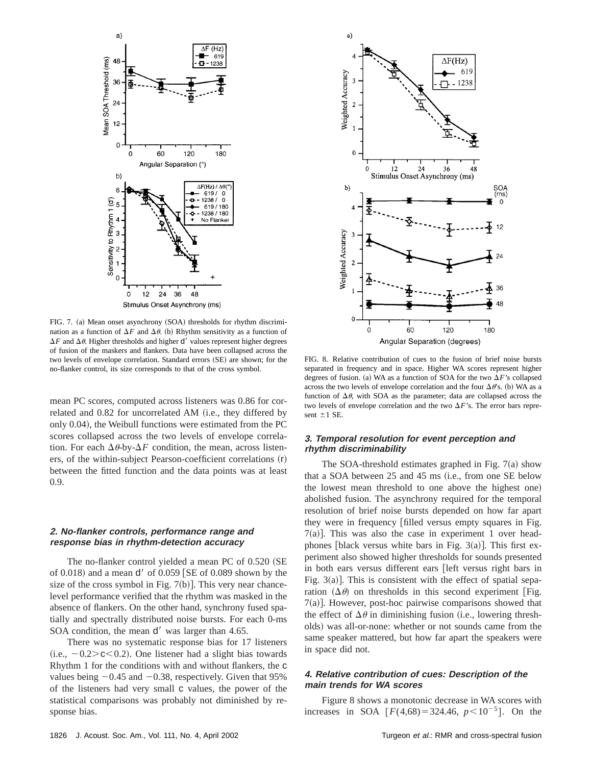

FIG. 7. (a) Mean onset asynchrony (SOA) thresholds for rhythm discrimination as a function of  $\Delta F$  and  $\Delta \theta$ . (b) Rhythm sensitivity as a function of  $\Delta F$  and  $\Delta \theta$ . Higher thresholds and higher d' values represent higher degrees of fusion of the maskers and flankers. Data have been collapsed across the two levels of envelope correlation. Standard errors (SE) are shown; for the no-flanker control, its size corresponds to that of the cross symbol.

mean PC scores, computed across listeners was 0.86 for correlated and 0.82 for uncorrelated AM (i.e., they differed by only 0.04), the Weibull functions were estimated from the PC scores collapsed across the two levels of envelope correlation. For each  $\Delta\theta$ -by- $\Delta F$  condition, the mean, across listen $ers,$  of the within-subject Pearson-coefficient correlations  $(r)$ between the fitted function and the data points was at least 0.9.

## **2. No-flanker controls, performance range and response bias in rhythm-detection accuracy**

The no-flanker control yielded a mean PC of  $0.520$  (SE of 0.018) and a mean  $d'$  of 0.059 [SE of 0.089 shown by the size of the cross symbol in Fig.  $7(b)$ ]. This very near chancelevel performance verified that the rhythm was masked in the absence of flankers. On the other hand, synchrony fused spatially and spectrally distributed noise bursts. For each 0-ms SOA condition, the mean  $d'$  was larger than 4.65.

There was no systematic response bias for 17 listeners  $(i.e., -0.2> c < 0.2)$ . One listener had a slight bias towards Rhythm 1 for the conditions with and without flankers, the c values being  $-0.45$  and  $-0.38$ , respectively. Given that 95% of the listeners had very small c values, the power of the statistical comparisons was probably not diminished by response bias.



FIG. 8. Relative contribution of cues to the fusion of brief noise bursts separated in frequency and in space. Higher WA scores represent higher degrees of fusion. (a) WA as a function of SOA for the two  $\Delta F$ 's collapsed across the two levels of envelope correlation and the four  $\Delta\theta$ 's. (b) WA as a function of  $\Delta\theta$ , with SOA as the parameter; data are collapsed across the two levels of envelope correlation and the two  $\Delta F$ 's. The error bars represent  $\pm 1$  SE.

## **3. Temporal resolution for event perception and rhythm discriminability**

The SOA-threshold estimates graphed in Fig.  $7(a)$  show that a SOA between  $25$  and  $45$  ms  $(i.e., from one SE below)$ the lowest mean threshold to one above the highest one) abolished fusion. The asynchrony required for the temporal resolution of brief noise bursts depended on how far apart they were in frequency [filled versus empty squares in Fig.  $7(a)$ ]. This was also the case in experiment 1 over headphones [black versus white bars in Fig.  $3(a)$ ]. This first experiment also showed higher thresholds for sounds presented in both ears versus different ears [left versus right bars in Fig.  $3(a)$ ]. This is consistent with the effect of spatial separation  $(\Delta \theta)$  on thresholds in this second experiment [Fig.  $7(a)$ ]. However, post-hoc pairwise comparisons showed that the effect of  $\Delta\theta$  in diminishing fusion (i.e., lowering thresholds) was all-or-none: whether or not sounds came from the same speaker mattered, but how far apart the speakers were in space did not.

## **4. Relative contribution of cues: Description of the main trends for WA scores**

Figure 8 shows a monotonic decrease in WA scores with increases in SOA  $[F(4,68) = 324.46, p < 10^{-5}]$ . On the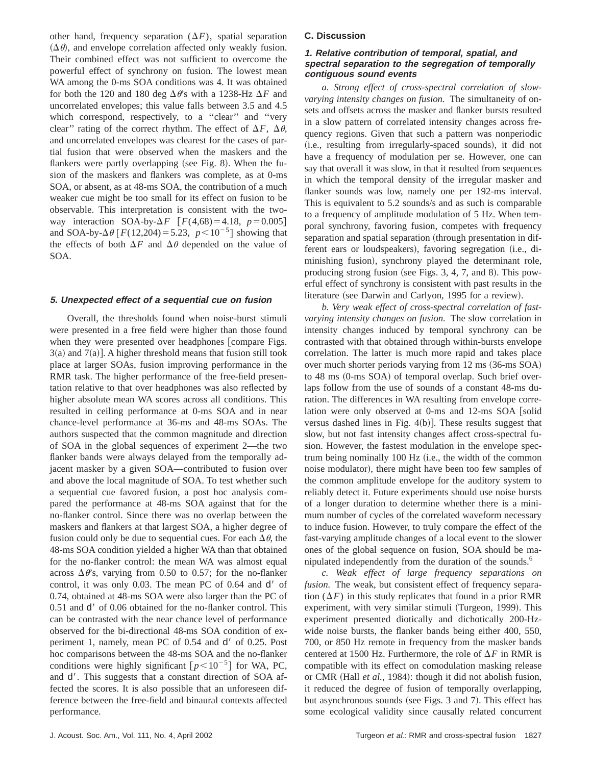other hand, frequency separation  $(\Delta F)$ , spatial separation  $(\Delta \theta)$ , and envelope correlation affected only weakly fusion. Their combined effect was not sufficient to overcome the powerful effect of synchrony on fusion. The lowest mean WA among the 0-ms SOA conditions was 4. It was obtained for both the 120 and 180 deg  $\Delta\theta$ 's with a 1238-Hz  $\Delta F$  and uncorrelated envelopes; this value falls between 3.5 and 4.5 which correspond, respectively, to a "clear" and "very clear'' rating of the correct rhythm. The effect of  $\Delta F$ ,  $\Delta \theta$ , and uncorrelated envelopes was clearest for the cases of partial fusion that were observed when the maskers and the flankers were partly overlapping (see Fig. 8). When the fusion of the maskers and flankers was complete, as at 0-ms SOA, or absent, as at 48-ms SOA, the contribution of a much weaker cue might be too small for its effect on fusion to be observable. This interpretation is consistent with the twoway interaction SOA-by- $\Delta F$   $F(4,68) = 4.18$ ,  $p = 0.005$ and SOA-by- $\Delta \theta$  [*F*(12,204) = 5.23, *p*<10<sup>-5</sup>] showing that the effects of both  $\Delta F$  and  $\Delta \theta$  depended on the value of SOA.

#### **5. Unexpected effect of <sup>a</sup> sequential cue on fusion**

Overall, the thresholds found when noise-burst stimuli were presented in a free field were higher than those found when they were presented over headphones [compare Figs.  $3(a)$  and  $7(a)$ ]. A higher threshold means that fusion still took place at larger SOAs, fusion improving performance in the RMR task. The higher performance of the free-field presentation relative to that over headphones was also reflected by higher absolute mean WA scores across all conditions. This resulted in ceiling performance at 0-ms SOA and in near chance-level performance at 36-ms and 48-ms SOAs. The authors suspected that the common magnitude and direction of SOA in the global sequences of experiment 2—the two flanker bands were always delayed from the temporally adjacent masker by a given SOA—contributed to fusion over and above the local magnitude of SOA. To test whether such a sequential cue favored fusion, a post hoc analysis compared the performance at 48-ms SOA against that for the no-flanker control. Since there was no overlap between the maskers and flankers at that largest SOA, a higher degree of fusion could only be due to sequential cues. For each  $\Delta \theta$ , the 48-ms SOA condition yielded a higher WA than that obtained for the no-flanker control: the mean WA was almost equal across  $\Delta \theta$ 's, varying from 0.50 to 0.57; for the no-flanker control, it was only  $0.03$ . The mean PC of  $0.64$  and  $d'$  of 0.74, obtained at 48-ms SOA were also larger than the PC of  $0.51$  and  $d'$  of  $0.06$  obtained for the no-flanker control. This can be contrasted with the near chance level of performance observed for the bi-directional 48-ms SOA condition of experiment 1, namely, mean PC of  $0.54$  and  $d'$  of  $0.25$ . Post hoc comparisons between the 48-ms SOA and the no-flanker conditions were highly significant  $[p<10^{-5}]$  for WA, PC, and  $d'$ . This suggests that a constant direction of SOA affected the scores. It is also possible that an unforeseen difference between the free-field and binaural contexts affected performance.

#### **C. Discussion**

## **1. Relative contribution of temporal, spatial, and spectral separation to the segregation of temporally contiguous sound events**

*a. Strong effect of cross-spectral correlation of slowvarying intensity changes on fusion.* The simultaneity of onsets and offsets across the masker and flanker bursts resulted in a slow pattern of correlated intensity changes across frequency regions. Given that such a pattern was nonperiodic (i.e., resulting from irregularly-spaced sounds), it did not have a frequency of modulation per se. However, one can say that overall it was slow, in that it resulted from sequences in which the temporal density of the irregular masker and flanker sounds was low, namely one per 192-ms interval. This is equivalent to 5.2 sounds/s and as such is comparable to a frequency of amplitude modulation of 5 Hz. When temporal synchrony, favoring fusion, competes with frequency separation and spatial separation (through presentation in different ears or loudspeakers), favoring segregation (i.e., diminishing fusion), synchrony played the determinant role, producing strong fusion (see Figs. 3, 4, 7, and 8). This powerful effect of synchrony is consistent with past results in the literature (see Darwin and Carlyon, 1995 for a review).

*b. Very weak effect of cross-spectral correlation of fastvarying intensity changes on fusion.* The slow correlation in intensity changes induced by temporal synchrony can be contrasted with that obtained through within-bursts envelope correlation. The latter is much more rapid and takes place over much shorter periods varying from 12 ms (36-ms SOA) to  $48 \text{ ms}$  (0-ms  $SOA$ ) of temporal overlap. Such brief overlaps follow from the use of sounds of a constant 48-ms duration. The differences in WA resulting from envelope correlation were only observed at 0-ms and 12-ms SOA [solid versus dashed lines in Fig.  $4(b)$ . These results suggest that slow, but not fast intensity changes affect cross-spectral fusion. However, the fastest modulation in the envelope spectrum being nominally 100 Hz (i.e., the width of the common noise modulator), there might have been too few samples of the common amplitude envelope for the auditory system to reliably detect it. Future experiments should use noise bursts of a longer duration to determine whether there is a minimum number of cycles of the correlated waveform necessary to induce fusion. However, to truly compare the effect of the fast-varying amplitude changes of a local event to the slower ones of the global sequence on fusion, SOA should be manipulated independently from the duration of the sounds.<sup>6</sup>

*c. Weak effect of large frequency separations on fusion.* The weak, but consistent effect of frequency separation  $(\Delta F)$  in this study replicates that found in a prior RMR experiment, with very similar stimuli (Turgeon, 1999). This experiment presented diotically and dichotically 200-Hzwide noise bursts, the flanker bands being either 400, 550, 700, or 850 Hz remote in frequency from the masker bands centered at 1500 Hz. Furthermore, the role of  $\Delta F$  in RMR is compatible with its effect on comodulation masking release or CMR (Hall *et al.*, 1984): though it did not abolish fusion, it reduced the degree of fusion of temporally overlapping, but asynchronous sounds (see Figs. 3 and 7). This effect has some ecological validity since causally related concurrent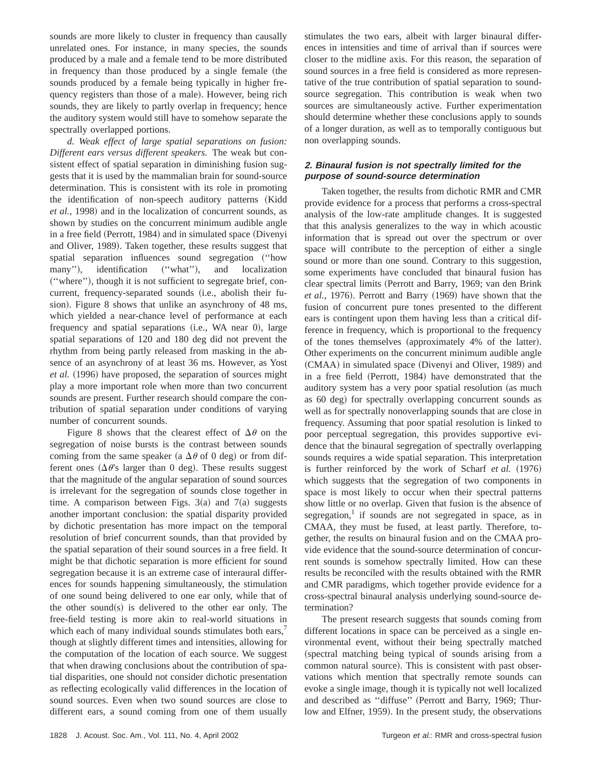sounds are more likely to cluster in frequency than causally unrelated ones. For instance, in many species, the sounds produced by a male and a female tend to be more distributed in frequency than those produced by a single female (the sounds produced by a female being typically in higher frequency registers than those of a male). However, being rich sounds, they are likely to partly overlap in frequency; hence the auditory system would still have to somehow separate the spectrally overlapped portions.

*d. Weak effect of large spatial separations on fusion: Different ears versus different speakers.* The weak but consistent effect of spatial separation in diminishing fusion suggests that it is used by the mammalian brain for sound-source determination. This is consistent with its role in promoting the identification of non-speech auditory patterns (Kidd *et al.*, 1998) and in the localization of concurrent sounds, as shown by studies on the concurrent minimum audible angle in a free field (Perrott, 1984) and in simulated space (Divenyi and Oliver, 1989). Taken together, these results suggest that spatial separation influences sound segregation ("how many"), identification ("what"), and localization ("where"), though it is not sufficient to segregate brief, concurrent, frequency-separated sounds (i.e., abolish their fusion). Figure 8 shows that unlike an asynchrony of 48 ms, which yielded a near-chance level of performance at each frequency and spatial separations (i.e., WA near 0), large spatial separations of 120 and 180 deg did not prevent the rhythm from being partly released from masking in the absence of an asynchrony of at least 36 ms. However, as Yost *et al.* (1996) have proposed, the separation of sources might play a more important role when more than two concurrent sounds are present. Further research should compare the contribution of spatial separation under conditions of varying number of concurrent sounds.

Figure 8 shows that the clearest effect of  $\Delta\theta$  on the segregation of noise bursts is the contrast between sounds coming from the same speaker (a  $\Delta\theta$  of 0 deg) or from different ones ( $\Delta \theta$ 's larger than 0 deg). These results suggest that the magnitude of the angular separation of sound sources is irrelevant for the segregation of sounds close together in time. A comparison between Figs.  $3(a)$  and  $7(a)$  suggests another important conclusion: the spatial disparity provided by dichotic presentation has more impact on the temporal resolution of brief concurrent sounds, than that provided by the spatial separation of their sound sources in a free field. It might be that dichotic separation is more efficient for sound segregation because it is an extreme case of interaural differences for sounds happening simultaneously, the stimulation of one sound being delivered to one ear only, while that of the other sound $(s)$  is delivered to the other ear only. The free-field testing is more akin to real-world situations in which each of many individual sounds stimulates both ears,<sup>7</sup> though at slightly different times and intensities, allowing for the computation of the location of each source. We suggest that when drawing conclusions about the contribution of spatial disparities, one should not consider dichotic presentation as reflecting ecologically valid differences in the location of sound sources. Even when two sound sources are close to different ears, a sound coming from one of them usually

stimulates the two ears, albeit with larger binaural differences in intensities and time of arrival than if sources were closer to the midline axis. For this reason, the separation of sound sources in a free field is considered as more representative of the true contribution of spatial separation to soundsource segregation. This contribution is weak when two sources are simultaneously active. Further experimentation should determine whether these conclusions apply to sounds of a longer duration, as well as to temporally contiguous but non overlapping sounds.

## **2. Binaural fusion is not spectrally limited for the purpose of sound-source determination**

Taken together, the results from dichotic RMR and CMR provide evidence for a process that performs a cross-spectral analysis of the low-rate amplitude changes. It is suggested that this analysis generalizes to the way in which acoustic information that is spread out over the spectrum or over space will contribute to the perception of either a single sound or more than one sound. Contrary to this suggestion, some experiments have concluded that binaural fusion has clear spectral limits (Perrott and Barry, 1969; van den Brink *et al.*, 1976). Perrott and Barry (1969) have shown that the fusion of concurrent pure tones presented to the different ears is contingent upon them having less than a critical difference in frequency, which is proportional to the frequency of the tones themselves (approximately 4% of the latter). Other experiments on the concurrent minimum audible angle (CMAA) in simulated space (Divenyi and Oliver, 1989) and in a free field (Perrott, 1984) have demonstrated that the auditory system has a very poor spatial resolution (as much as 60 deg) for spectrally overlapping concurrent sounds as well as for spectrally nonoverlapping sounds that are close in frequency. Assuming that poor spatial resolution is linked to poor perceptual segregation, this provides supportive evidence that the binaural segregation of spectrally overlapping sounds requires a wide spatial separation. This interpretation is further reinforced by the work of Scharf *et al.* (1976) which suggests that the segregation of two components in space is most likely to occur when their spectral patterns show little or no overlap. Given that fusion is the absence of segregation, $\frac{1}{1}$  if sounds are not segregated in space, as in CMAA, they must be fused, at least partly. Therefore, together, the results on binaural fusion and on the CMAA provide evidence that the sound-source determination of concurrent sounds is somehow spectrally limited. How can these results be reconciled with the results obtained with the RMR and CMR paradigms, which together provide evidence for a cross-spectral binaural analysis underlying sound-source determination?

The present research suggests that sounds coming from different locations in space can be perceived as a single environmental event, without their being spectrally matched (spectral matching being typical of sounds arising from a common natural source). This is consistent with past observations which mention that spectrally remote sounds can evoke a single image, though it is typically not well localized and described as "diffuse" (Perrott and Barry, 1969; Thurlow and Elfner, 1959). In the present study, the observations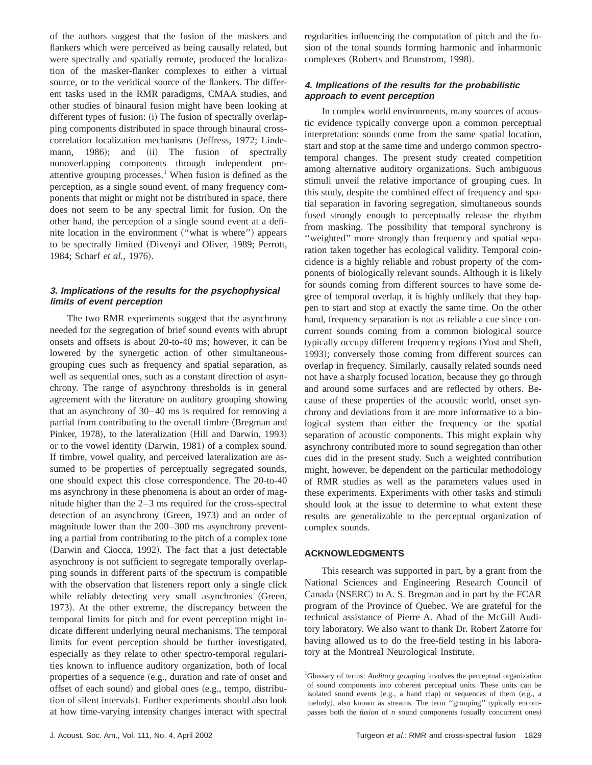of the authors suggest that the fusion of the maskers and flankers which were perceived as being causally related, but were spectrally and spatially remote, produced the localization of the masker-flanker complexes to either a virtual source, or to the veridical source of the flankers. The different tasks used in the RMR paradigms, CMAA studies, and other studies of binaural fusion might have been looking at different types of fusion: (i) The fusion of spectrally overlapping components distributed in space through binaural crosscorrelation localization mechanisms (Jeffress, 1972; Lindemann, 1986); and (ii) The fusion of spectrally nonoverlapping components through independent preattentive grouping processes.<sup>1</sup> When fusion is defined as the perception, as a single sound event, of many frequency components that might or might not be distributed in space, there does not seem to be any spectral limit for fusion. On the other hand, the perception of a single sound event at a definite location in the environment ("what is where") appears to be spectrally limited (Divenyi and Oliver, 1989; Perrott, 1984; Scharf *et al.*, 1976).

# **3. Implications of the results for the psychophysical limits of event perception**

The two RMR experiments suggest that the asynchrony needed for the segregation of brief sound events with abrupt onsets and offsets is about 20-to-40 ms; however, it can be lowered by the synergetic action of other simultaneousgrouping cues such as frequency and spatial separation, as well as sequential ones, such as a constant direction of asynchrony. The range of asynchrony thresholds is in general agreement with the literature on auditory grouping showing that an asynchrony of 30–40 ms is required for removing a partial from contributing to the overall timbre (Bregman and Pinker, 1978), to the lateralization (Hill and Darwin, 1993) or to the vowel identity (Darwin, 1981) of a complex sound. If timbre, vowel quality, and perceived lateralization are assumed to be properties of perceptually segregated sounds, one should expect this close correspondence. The 20-to-40 ms asynchrony in these phenomena is about an order of magnitude higher than the 2–3 ms required for the cross-spectral detection of an asynchrony (Green, 1973) and an order of magnitude lower than the 200–300 ms asynchrony preventing a partial from contributing to the pitch of a complex tone (Darwin and Ciocca, 1992). The fact that a just detectable asynchrony is not sufficient to segregate temporally overlapping sounds in different parts of the spectrum is compatible with the observation that listeners report only a single click while reliably detecting very small asynchronies (Green, 1973). At the other extreme, the discrepancy between the temporal limits for pitch and for event perception might indicate different underlying neural mechanisms. The temporal limits for event perception should be further investigated, especially as they relate to other spectro-temporal regularities known to influence auditory organization, both of local properties of a sequence (e.g., duration and rate of onset and offset of each sound) and global ones (e.g., tempo, distribution of silent intervals). Further experiments should also look at how time-varying intensity changes interact with spectral

regularities influencing the computation of pitch and the fusion of the tonal sounds forming harmonic and inharmonic complexes (Roberts and Brunstrom, 1998).

# **4. Implications of the results for the probabilistic approach to event perception**

In complex world environments, many sources of acoustic evidence typically converge upon a common perceptual interpretation: sounds come from the same spatial location, start and stop at the same time and undergo common spectrotemporal changes. The present study created competition among alternative auditory organizations. Such ambiguous stimuli unveil the relative importance of grouping cues. In this study, despite the combined effect of frequency and spatial separation in favoring segregation, simultaneous sounds fused strongly enough to perceptually release the rhythm from masking. The possibility that temporal synchrony is ''weighted'' more strongly than frequency and spatial separation taken together has ecological validity. Temporal coincidence is a highly reliable and robust property of the components of biologically relevant sounds. Although it is likely for sounds coming from different sources to have some degree of temporal overlap, it is highly unlikely that they happen to start and stop at exactly the same time. On the other hand, frequency separation is not as reliable a cue since concurrent sounds coming from a common biological source typically occupy different frequency regions (Yost and Sheft, 1993); conversely those coming from different sources can overlap in frequency. Similarly, causally related sounds need not have a sharply focused location, because they go through and around some surfaces and are reflected by others. Because of these properties of the acoustic world, onset synchrony and deviations from it are more informative to a biological system than either the frequency or the spatial separation of acoustic components. This might explain why asynchrony contributed more to sound segregation than other cues did in the present study. Such a weighted contribution might, however, be dependent on the particular methodology of RMR studies as well as the parameters values used in these experiments. Experiments with other tasks and stimuli should look at the issue to determine to what extent these results are generalizable to the perceptual organization of complex sounds.

## **ACKNOWLEDGMENTS**

This research was supported in part, by a grant from the National Sciences and Engineering Research Council of Canada (NSERC) to A. S. Bregman and in part by the FCAR program of the Province of Quebec. We are grateful for the technical assistance of Pierre A. Ahad of the McGill Auditory laboratory. We also want to thank Dr. Robert Zatorre for having allowed us to do the free-field testing in his laboratory at the Montreal Neurological Institute.

<sup>1</sup>Glossary of terms: *Auditory grouping* involves the perceptual organization of sound components into coherent perceptual units. These units can be isolated sound events (e.g., a hand clap) or sequences of them (e.g., a melody), also known as streams. The term "grouping" typically encompasses both the *fusion* of *n* sound components (usually concurrent ones)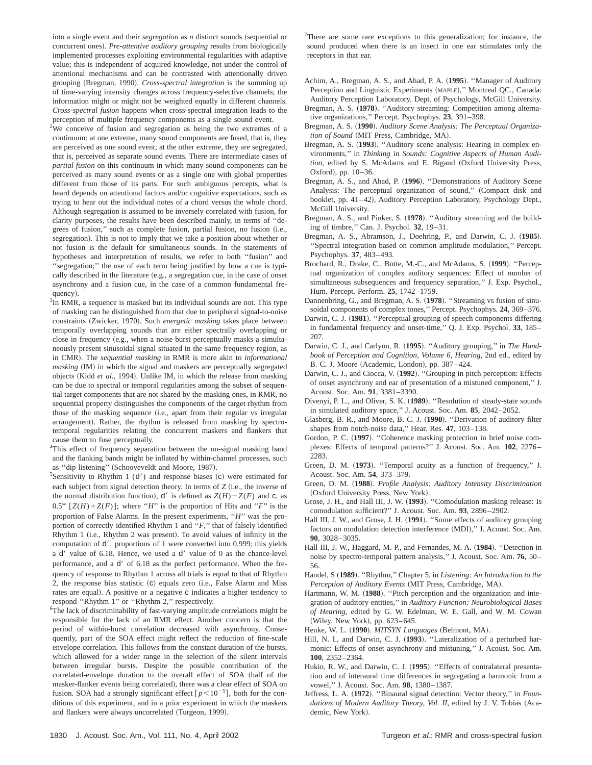into a single event and their *segregation* as *n* distinct sounds (sequential or concurrent ones). *Pre-attentive auditory grouping* results from biologically implemented processes exploiting environmental regularities with adaptive value; this is independent of acquired knowledge, not under the control of attentional mechanisms and can be contrasted with attentionally driven grouping (Bregman, 1990). *Cross-spectral integration* is the summing up of time-varying intensity changes across frequency-selective channels; the information might or might not be weighted equally in different channels. *Cross-spectral fusion* happens when cross-spectral integration leads to the perception of multiple frequency components as a single sound event.

<sup>2</sup>We conceive of fusion and segregation as being the two extremes of a continuum: at one extreme, many sound components are fused, that is, they are perceived as one sound event; at the other extreme, they are segregated, that is, perceived as separate sound events. There are intermediate cases of *partial fusion* on this continuum in which many sound components can be perceived as many sound events or as a single one with global properties different from those of its parts. For such ambiguous percepts, what is heard depends on attentional factors and/or cognitive expectations, such as trying to hear out the individual notes of a chord versus the whole chord. Although segregation is assumed to be inversely correlated with fusion, for clarity purposes, the results have been described mainly, in terms of ''degrees of fusion," such as complete fusion, partial fusion, no fusion (i.e., segregation). This is not to imply that we take a position about whether or not fusion is the default for simultaneous sounds. In the statements of hypotheses and interpretation of results, we refer to both ''fusion'' and ''segregation;'' the use of each term being justified by how a cue is typically described in the literature (e.g., a segregation cue, in the case of onset asynchrony and a fusion cue, in the case of a common fundamental frequency).

 ${}^{3}$ In RMR, a sequence is masked but its individual sounds are not. This type of masking can be distinguished from that due to peripheral signal-to-noise constraints (Zwicker, 1970). Such *energetic masking* takes place between temporally overlapping sounds that are either spectrally overlapping or close in frequency (e.g., when a noise burst perceptually masks a simultaneously present sinusoidal signal situated in the same frequency region, as in CMR). The *sequential masking* in RMR is more akin to *informational masking* (IM) in which the signal and maskers are perceptually segregated objects (Kidd et al., 1994). Unlike IM, in which the release from masking can be due to spectral or temporal regularities among the subset of sequential target components that are not shared by the masking ones, in RMR, no sequential property distinguishes the components of the target rhythm from those of the masking sequence (i.e., apart from their regular vs irregular arrangement). Rather, the rhythm is released from masking by spectrotemporal regularities relating the concurrent maskers and flankers that cause them to fuse perceptually.

<sup>4</sup>This effect of frequency separation between the on-signal masking band and the flanking bands might be inflated by within-channel processes, such as "dip listening" (Schooveveldt and Moore, 1987).

<sup>5</sup>Sensitivity to Rhythm 1 ( $d'$ ) and response biases (c) were estimated for each subject from signal detection theory. In terms of *Z* (i.e., the inverse of the normal distribution function),  $d'$  is defined as  $Z(H) - Z(F)$  and c, as  $0.5^*$   $[Z(H)+Z(F)]$ ; where "*H*" is the proportion of Hits and "*F*" is the proportion of False Alarms. In the present experiments, "*H*" was the proportion of correctly identified Rhythm 1 and ''*F*,'' that of falsely identified Rhythm 1 (i.e., Rhythm 2 was present). To avoid values of infinity in the computation of  $d'$ , proportions of 1 were converted into 0.999; this yields a  $d'$  value of 6.18. Hence, we used a  $d'$  value of 0 as the chance-level performance, and a  $d'$  of 6.18 as the perfect performance. When the frequency of response to Rhythm 1 across all trials is equal to that of Rhythm 2, the response bias statistic (c) equals zero (i.e., False Alarm and Miss rates are equal). A positive or a negative c indicates a higher tendency to respond ''Rhythm 1'' or ''Rhythm 2,'' respectively.

<sup>6</sup>The lack of discriminability of fast-varying amplitude correlations might be responsible for the lack of an RMR effect. Another concern is that the period of within-burst correlation decreased with asynchrony. Consequently, part of the SOA effect might reflect the reduction of fine-scale envelope correlation. This follows from the constant duration of the bursts, which allowed for a wider range in the selection of the silent intervals between irregular bursts. Despite the possible contribution of the correlated-envelope duration to the overall effect of SOA (half of the masker-flanker events being correlated), there was a clear effect of SOA on fusion. SOA had a strongly significant effect  $[p<10^{-5}]$ , both for the conditions of this experiment, and in a prior experiment in which the maskers and flankers were always uncorrelated (Turgeon, 1999).

 $7$ There are some rare exceptions to this generalization; for instance, the sound produced when there is an insect in one ear stimulates only the receptors in that ear.

- Achim, A., Bregman, A. S., and Ahad, P. A. ~**1995**!. ''Manager of Auditory Perception and Linguistic Experiments (MAPLE)," Montreal QC., Canada: Auditory Perception Laboratory, Dept. of Psychology, McGill University.
- Bregman, A. S. (1978). "Auditory streaming: Competition among alternative organizations,'' Percept. Psychophys. **23**, 391–398.
- Bregman, A. S. ~**1990**!. *Auditory Scene Analysis: The Perceptual Organization of Sound* (MIT Press, Cambridge, MA).
- Bregman, A. S. (1993). "Auditory scene analysis: Hearing in complex environments,'' in *Thinking in Sounds: Cognitive Aspects of Human Audi*tion, edited by S. McAdams and E. Bigand (Oxford University Press, Oxford), pp.  $10-36$ .
- Bregman, A. S., and Ahad, P. (1996). "Demonstrations of Auditory Scene Analysis: The perceptual organization of sound," (Compact disk and booklet, pp. 41-42), Auditory Perception Laboratory, Psychology Dept., McGill University.
- Bregman, A. S., and Pinker, S. (1978). "Auditory streaming and the building of timbre,'' Can. J. Psychol. **32**, 19–31.
- Bregman, A. S., Abramson, J., Doehring, P., and Darwin, C. J. (1985). ''Spectral integration based on common amplitude modulation,'' Percept. Psychophys. **37**, 483–493.
- Brochard, R., Drake, C., Botte, M.-C., and McAdams, S. (1999). "Perceptual organization of complex auditory sequences: Effect of number of simultaneous subsequences and frequency separation,'' J. Exp. Psychol., Hum. Percept. Perform. **25**, 1742–1759.
- Dannenbring, G., and Bregman, A. S. (1978). "Streaming vs fusion of sinusoidal components of complex tones,'' Percept. Psychophys. **24**, 369–376.
- Darwin, C. J. (1981). "Perceptual grouping of speech components differing in fundamental frequency and onset-time,'' Q. J. Exp. Psychol. **33**, 185– 207.
- Darwin, C. J., and Carlyon, R. (1995). "Auditory grouping," in *The Handbook of Perception and Cognition, Volume 6, Hearing*, 2nd ed., edited by B. C. J. Moore (Academic, London), pp. 387–424.
- Darwin, C. J., and Ciocca, V. (1992). "Grouping in pitch perception: Effects of onset asynchrony and ear of presentation of a mistuned component,'' J. Acoust. Soc. Am. **91**, 3381–3390.
- Divenyi, P. L., and Oliver, S. K. (1989). "Resolution of steady-state sounds in simulated auditory space,'' J. Acoust. Soc. Am. **85**, 2042–2052.
- Glasberg, B. R., and Moore, B. C. J. (1990). "Derivation of auditory filter shapes from notch-noise data,'' Hear. Res. **47**, 103–138.
- Gordon, P. C. (1997). "Coherence masking protection in brief noise complexes: Effects of temporal patterns?'' J. Acoust. Soc. Am. **102**, 2276– 2283.
- Green, D. M. (1973). "Temporal acuity as a function of frequency," J. Acoust. Soc. Am. **54**, 373–379.
- Green, D. M. ~**1988**!. *Profile Analysis: Auditory Intensity Discrimination* (Oxford University Press, New York).
- Grose, J. H., and Hall III, J. W. (1993). "Comodulation masking release: Is comodulation sufficient?'' J. Acoust. Soc. Am. **93**, 2896–2902.
- Hall III, J. W., and Grose, J. H. (1991). "Some effects of auditory grouping factors on modulation detection interference (MDI)," J. Acoust. Soc. Am. **90**, 3028–3035.
- Hall III, J. W., Haggard, M. P., and Fernandes, M. A. (1984). "Detection in noise by spectro-temporal pattern analysis,'' J. Acoust. Soc. Am. **76**, 50– 56.
- Handel, S (1989). "Rhythm," Chapter 5, in *Listening: An Introduction to the Perception of Auditory Events* (MIT Press, Cambridge, MA).
- Hartmann, W. M. (1988). "Pitch perception and the organization and integration of auditory entities,'' in *Auditory Function: Neurobiological Bases of Hearing*, edited by G. W. Edelman, W. E. Gall, and W. M. Cowan (Wiley, New York), pp. 623-645.
- Henke, W. L. (1990). *MITSYN Languages* (Belmont, MA).
- Hill, N. I., and Darwin, C. J. (1993). "Lateralization of a perturbed harmonic: Effects of onset asynchrony and mistuning,'' J. Acoust. Soc. Am. **100**, 2352–2364.
- Hukin, R. W., and Darwin, C. J. (1995). "Effects of contralateral presentation and of interaural time differences in segregating a harmonic from a vowel,'' J. Acoust. Soc. Am. **98**, 1380–1387.
- Jeffress, L. A. ~**1972**!. ''Binaural signal detection: Vector theory,'' in *Foun*dations of Modern Auditory Theory, Vol. II, edited by J. V. Tobias (Academic, New York).